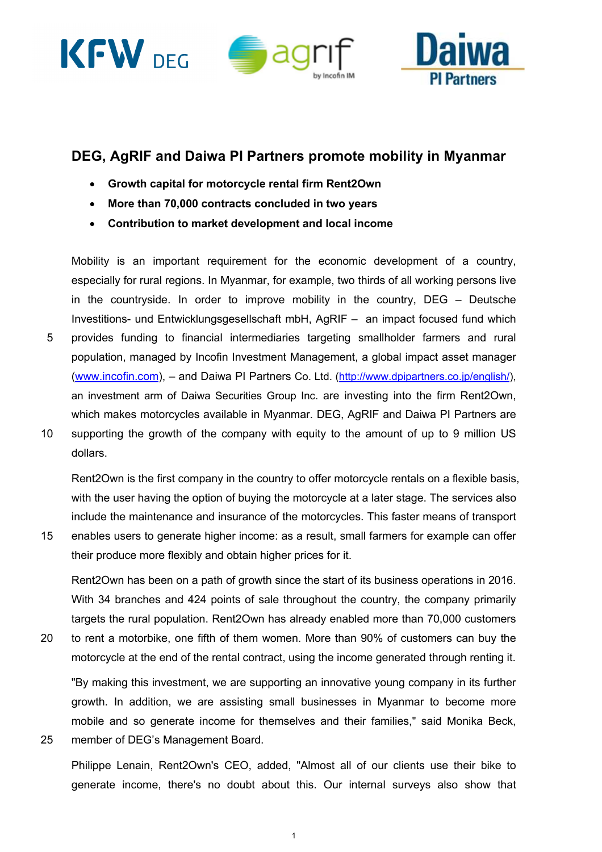





## **DEG, AgRIF and Daiwa PI Partners promote mobility in Myanmar**

- **Growth capital for motorcycle rental firm Rent2Own**
- **More than 70,000 contracts concluded in two years**
- **Contribution to market development and local income**

Mobility is an important requirement for the economic development of a country, especially for rural regions. In Myanmar, for example, two thirds of all working persons live in the countryside. In order to improve mobility in the country, DEG – Deutsche Investitions- und Entwicklungsgesellschaft mbH, AgRIF – an impact focused fund which 5 provides funding to financial intermediaries targeting smallholder farmers and rural population, managed by Incofin Investment Management, a global impact asset manager (www.incofin.com), – and Daiwa PI Partners Co. Ltd. (http://www.dpipartners.co.jp/english/), an investment arm of Daiwa Securities Group Inc. are investing into the firm Rent2Own, which makes motorcycles available in Myanmar. DEG, AgRIF and Daiwa PI Partners are 10 supporting the growth of the company with equity to the amount of up to 9 million US dollars.

Rent2Own is the first company in the country to offer motorcycle rentals on a flexible basis, with the user having the option of buying the motorcycle at a later stage. The services also include the maintenance and insurance of the motorcycles. This faster means of transport

15 enables users to generate higher income: as a result, small farmers for example can offer their produce more flexibly and obtain higher prices for it.

Rent2Own has been on a path of growth since the start of its business operations in 2016. With 34 branches and 424 points of sale throughout the country, the company primarily targets the rural population. Rent2Own has already enabled more than 70,000 customers

20 to rent a motorbike, one fifth of them women. More than 90% of customers can buy the motorcycle at the end of the rental contract, using the income generated through renting it.

"By making this investment, we are supporting an innovative young company in its further growth. In addition, we are assisting small businesses in Myanmar to become more mobile and so generate income for themselves and their families," said Monika Beck,

25 member of DEG's Management Board.

Philippe Lenain, Rent2Own's CEO, added, "Almost all of our clients use their bike to generate income, there's no doubt about this. Our internal surveys also show that